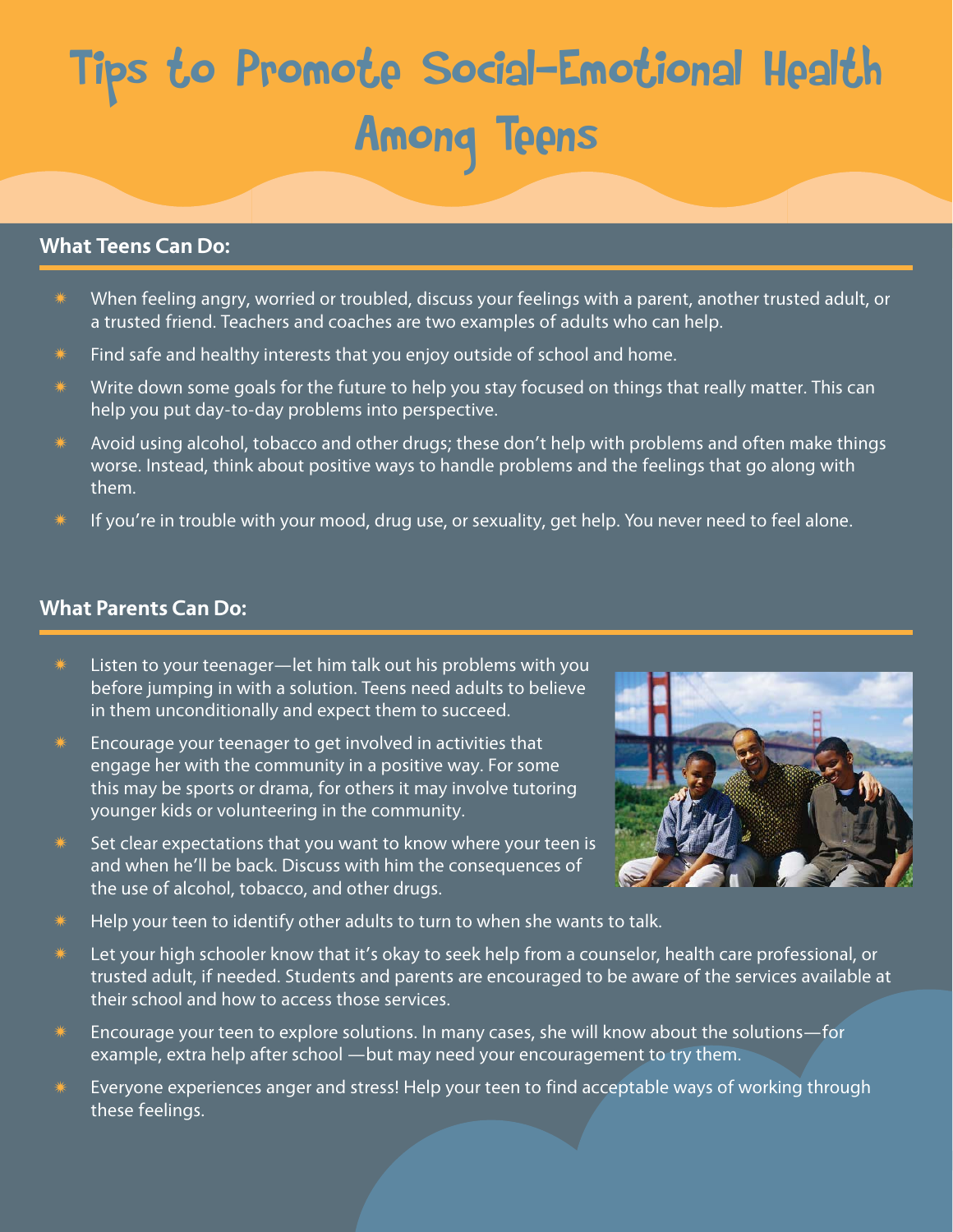# Tips to Promote Social-Emotional Health Among Teens

#### **What Teens Can Do:**

- When feeling angry, worried or troubled, discuss your feelings with a parent, another trusted adult, or a trusted friend. Teachers and coaches are two examples of adults who can help.
- Find safe and healthy interests that you enjoy outside of school and home.
- $*$  Write down some goals for the future to help you stay focused on things that really matter. This can help you put day-to-day problems into perspective.
- Avoid using alcohol, tobacco and other drugs; these don't help with problems and often make things worse. Instead, think about positive ways to handle problems and the feelings that go along with them.
- If you're in trouble with your mood, drug use, or sexuality, get help. You never need to feel alone.

#### **What Parents Can Do:**

- Listen to your teenager—let him talk out his problems with you before jumping in with a solution. Teens need adults to believe in them unconditionally and expect them to succeed.
- Encourage your teenager to get involved in activities that engage her with the community in a positive way. For some this may be sports or drama, for others it may involve tutoring younger kids or volunteering in the community.
- $*$  Set clear expectations that you want to know where your teen is and when he'll be back. Discuss with him the consequences of the use of alcohol, tobacco, and other drugs.



- $*$  Help your teen to identify other adults to turn to when she wants to talk.
- Let your high schooler know that it's okay to seek help from a counselor, health care professional, or trusted adult, if needed. Students and parents are encouraged to be aware of the services available at their school and how to access those services.
- $*$  Encourage your teen to explore solutions. In many cases, she will know about the solutions—for example, extra help after school —but may need your encouragement to try them.
- $*$  Everyone experiences anger and stress! Help your teen to find acceptable ways of working through these feelings.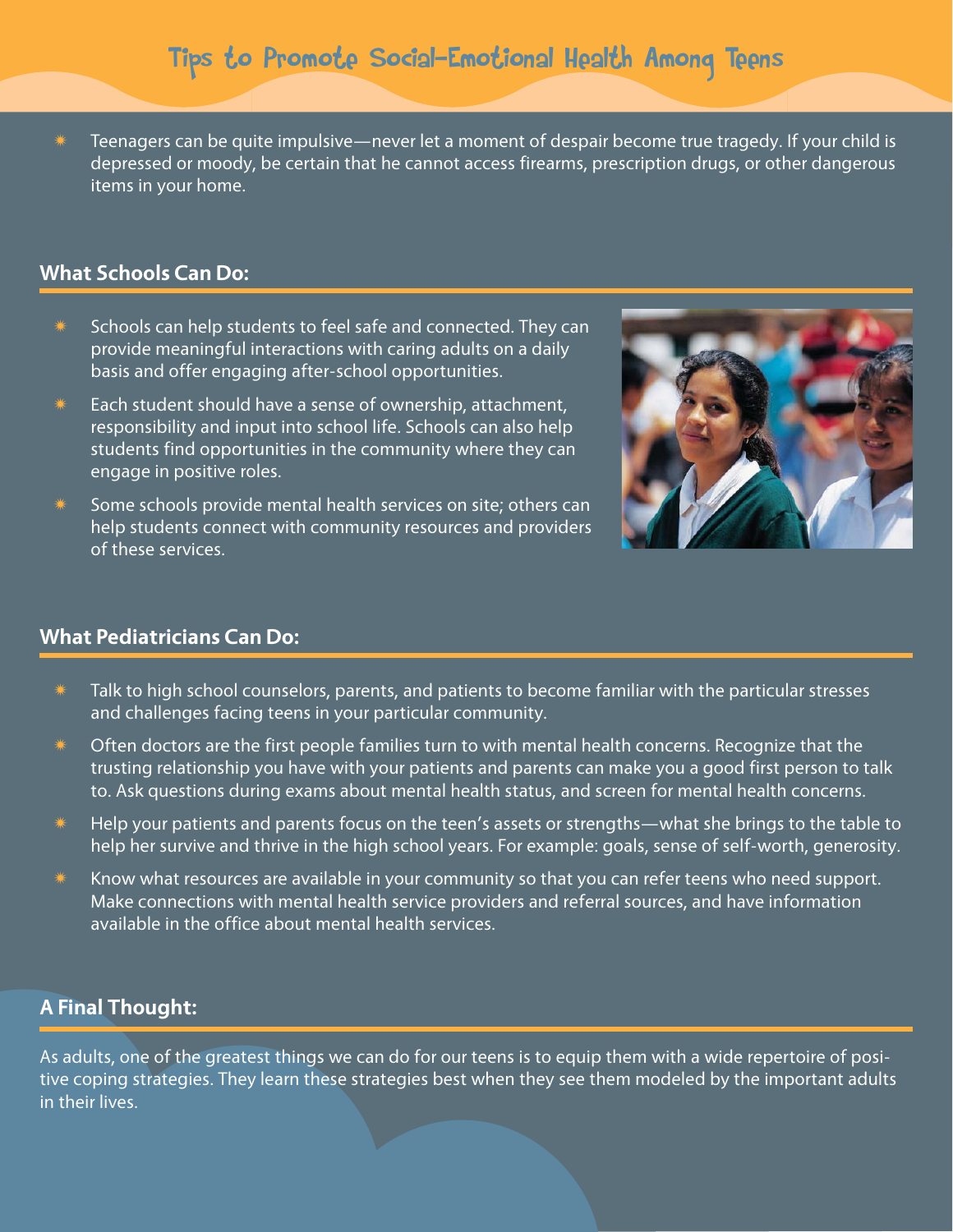$*$  Teenagers can be quite impulsive—never let a moment of despair become true tragedy. If your child is depressed or moody, be certain that he cannot access firearms, prescription drugs, or other dangerous items in your home.

#### **What Schools Can Do:**

- Schools can help students to feel safe and connected. They can provide meaningful interactions with caring adults on a daily basis and offer engaging after-school opportunities.
- Each student should have a sense of ownership, attachment, responsibility and input into school life. Schools can also help students find opportunities in the community where they can engage in positive roles.
- Some schools provide mental health services on site; others can help students connect with community resources and providers of these services.



#### **What Pediatricians Can Do:**

- Talk to high school counselors, parents, and patients to become familiar with the particular stresses and challenges facing teens in your particular community.
- Often doctors are the first people families turn to with mental health concerns. Recognize that the trusting relationship you have with your patients and parents can make you a good first person to talk to. Ask questions during exams about mental health status, and screen for mental health concerns.
- $*$  Help your patients and parents focus on the teen's assets or strengths—what she brings to the table to help her survive and thrive in the high school years. For example: goals, sense of self-worth, generosity.
- Know what resources are available in your community so that you can refer teens who need support. Make connections with mental health service providers and referral sources, and have information available in the office about mental health services.

### **A Final Thought:**

As adults, one of the greatest things we can do for our teens is to equip them with a wide repertoire of positive coping strategies. They learn these strategies best when they see them modeled by the important adults in their lives.